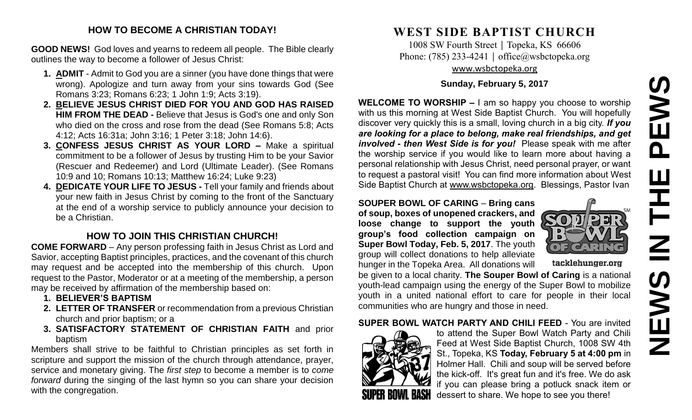# **NEWS IN THE PEWS**PEWS  $\overline{z}$ **SWEN**

#### **HOW TO BECOME A CHRISTIAN TODAY!**

**GOOD NEWS!** God loves and yearns to redeem all people. The Bible clearly outlines the way to become a follower of Jesus Christ:

- **1. ADMIT** Admit to God you are a sinner (you have done things that were wrong). Apologize and turn away from your sins towards God (See Romans 3:23; Romans 6:23; 1 John 1:9; Acts 3:19).
- **2. BELIEVE JESUS CHRIST DIED FOR YOU AND GOD HAS RAISED HIM FROM THE DEAD -** Believe that Jesus is God's one and only Son who died on the cross and rose from the dead (See Romans 5:8; Acts 4:12; Acts 16:31a; John 3:16; 1 Peter 3:18; John 14:6).
- **3. CONFESS JESUS CHRIST AS YOUR LORD –** Make a spiritual commitment to be a follower of Jesus by trusting Him to be your Savior (Rescuer and Redeemer) and Lord (Ultimate Leader). (See Romans 10:9 and 10; Romans 10:13; Matthew 16:24; Luke 9:23)
- **4. DEDICATE YOUR LIFE TO JESUS -** Tell your family and friends about your new faith in Jesus Christ by coming to the front of the Sanctuary at the end of a worship service to publicly announce your decision to be a Christian.

## **HOW TO JOIN THIS CHRISTIAN CHURCH!**

**COME FORWARD** – Any person professing faith in Jesus Christ as Lord and Savior, accepting Baptist principles, practices, and the covenant of this church may request and be accepted into the membership of this church. Upon request to the Pastor, Moderator or at a meeting of the membership, a person may be received by affirmation of the membership based on:

- **1. BELIEVER'S BAPTISM**
- **2. LETTER OF TRANSFER** or recommendation from a previous Christian church and prior baptism; or a
- **3. SATISFACTORY STATEMENT OF CHRISTIAN FAITH** and prior baptism

Members shall strive to be faithful to Christian principles as set forth in scripture and support the mission of the church through attendance, prayer, service and monetary giving. The *first step* to become a member is to *come forward* during the singing of the last hymn so you can share your decision with the congregation.

# **WEST SIDE BAPTIST CHURCH**

1008 SW Fourth Street | Topeka, KS 66606 Phone: (785) 233-4241 │ [office@wsbctopeka.org](mailto:office@wsbctopeka.org) [www.wsbctopeka.org](http://www.wsbctopeka.org/)

#### **Sunday, February 5, 2017**

**WELCOME TO WORSHIP –** I am so happy you choose to worship with us this morning at West Side Baptist Church. You will hopefully discover very quickly this is a small, loving church in a big city. *If you are looking for a place to belong, make real friendships, and get involved - then West Side is for you!* Please speak with me after the worship service if you would like to learn more about having a personal relationship with Jesus Christ, need personal prayer, or want to request a pastoral visit! You can find more information about West Side Baptist Church at [www.wsbctopeka.org.](http://www.wsbctopeka.org/) Blessings, Pastor Ivan

**SOUPER BOWL OF CARING** – **Bring cans of soup, boxes of unopened crackers, and loose change to support the youth group's food collection campaign on Super Bowl Today, Feb. 5, 2017**. The youth group will collect donations to help alleviate hunger in the Topeka Area. All donations will



tacklehunger.org

be given to a local charity. **The Souper Bowl of Caring** is a national youth-lead campaign using the energy of the Super Bowl to mobilize youth in a united national effort to care for people in their local communities who are hungry and those in need.

#### **SUPER BOWL WATCH PARTY AND CHILI FEED - You are invited**



to attend the Super Bowl Watch Party and Chili Feed at West Side Baptist Church, 1008 SW 4th St., Topeka, KS **Today, February 5 at 4:00 pm** in Holmer Hall. Chili and soup will be served before the kick-off. It's great fun and it's free. We do ask if you can please bring a potluck snack item or dessert to share. We hope to see you there!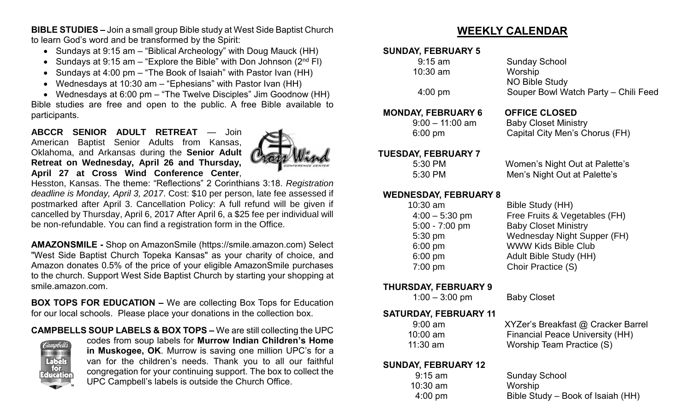**BIBLE STUDIES –** Join a small group Bible study at West Side Baptist Church to learn God's word and be transformed by the Spirit:

- Sundays at 9:15 am "Biblical Archeology" with Doug Mauck (HH)
- Sundays at 9:15 am  $-$  "Explore the Bible" with Don Johnson (2<sup>nd</sup> FI)
- Sundays at 4:00 pm "The Book of Isaiah" with Pastor Ivan (HH)
- Wednesdays at 10:30 am "Ephesians" with Pastor Ivan (HH)
- Wednesdays at 6:00 pm "The Twelve Disciples" Jim Goodnow (HH)

Bible studies are free and open to the public. A free Bible available to participants.

**ABCCR SENIOR ADULT RETREAT** — Join American Baptist Senior Adults from Kansas, Oklahoma, and Arkansas during the **Senior Adult Retreat on Wednesday, April 26 and Thursday, April 27 at Cross Wind Conference Center**,



Hesston, Kansas. The theme: "Reflections" 2 Corinthians 3:18. *Registration deadline is Monday, April 3, 2017*. Cost: \$10 per person, late fee assessed if postmarked after April 3. Cancellation Policy: A full refund will be given if cancelled by Thursday, April 6, 2017 After April 6, a \$25 fee per individual will be non-refundable. You can find a registration form in the Office.

**AMAZONSMILE -** Shop on AmazonSmile (https://smile.amazon.com) Select "West Side Baptist Church Topeka Kansas" as your charity of choice, and Amazon donates 0.5% of the price of your eligible AmazonSmile purchases to the church. Support West Side Baptist Church by starting your shopping at smile.amazon.com.

**BOX TOPS FOR EDUCATION –** We are collecting Box Tops for Education for our local schools. Please place your donations in the collection box.

**CAMPBELLS SOUP LABELS & BOX TOPS –** We are still collecting the UPC



codes from soup labels for **Murrow Indian Children's Home in Muskogee, OK**. Murrow is saving one million UPC's for a van for the children's needs. Thank you to all our faithful congregation for your continuing support. The box to collect the UPC Campbell's labels is outside the Church Office.

# **WEEKLY CALENDAR**

#### **SUNDAY, FEBRUARY 5**

| $9:15$ am<br>$10:30$ am<br>$4:00 \text{ pm}$                                                                        | <b>Sunday School</b><br>Worship<br><b>NO Bible Study</b><br>Souper Bowl Watch Party - Chili Feed                                                                                                     |
|---------------------------------------------------------------------------------------------------------------------|------------------------------------------------------------------------------------------------------------------------------------------------------------------------------------------------------|
| <b>MONDAY, FEBRUARY 6</b><br>$9:00 - 11:00$ am<br>6:00 pm                                                           | <b>OFFICE CLOSED</b><br><b>Baby Closet Ministry</b><br>Capital City Men's Chorus (FH)                                                                                                                |
| <b>TUESDAY, FEBRUARY 7</b><br>5:30 PM<br>5:30 PM                                                                    | Women's Night Out at Palette's<br>Men's Night Out at Palette's                                                                                                                                       |
| <b>WEDNESDAY, FEBRUARY 8</b><br>10:30 am<br>$4:00 - 5:30$ pm<br>$5:00 - 7:00$ pm<br>5:30 pm<br>6:00 pm<br>$6:00$ pm | Bible Study (HH)<br>Free Fruits & Vegetables (FH)<br><b>Baby Closet Ministry</b><br>Wednesday Night Supper (FH)<br><b>WWW Kids Bible Club</b><br><b>Adult Bible Study (HH)</b><br>Choir Practice (S) |
| $7:00$ pm                                                                                                           |                                                                                                                                                                                                      |

#### **THURSDAY, FEBRUARY 9**

1:00 – 3:00 pm Baby Closet

### **SATURDAY, FEBRUARY 11**

| $9:00$ am  | XYZer's Breakfast @ Cracker Ba         |
|------------|----------------------------------------|
| $10:00$ am | <b>Financial Peace University (HH)</b> |
| $11:30$ am | Worship Team Practice (S)              |

#### **SUNDAY, FEBRUARY 12**

| 9:15 am           |  |
|-------------------|--|
| 10:30 am          |  |
| $4:00 \text{ pm}$ |  |

**8:00 Cracker Barrel** 

**Sunday School** Worship Bible Study – Book of Isaiah (HH)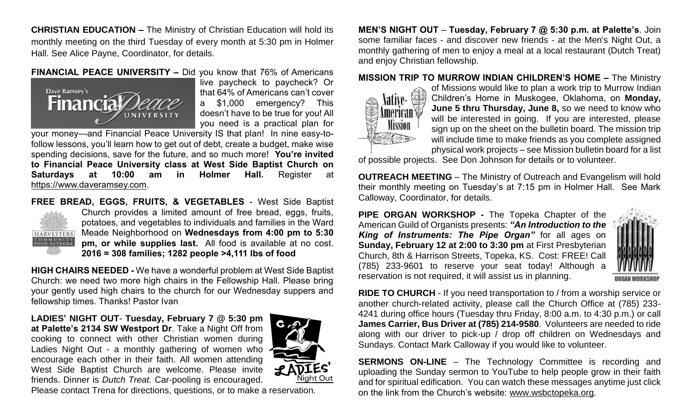**CHRISTIAN EDUCATION –** The Ministry of Christian Education will hold its monthly meeting on the third Tuesday of every month at 5:30 pm in Holmer Hall. See Alice Payne, Coordinator, for details.

#### **FINANCIAL PEACE UNIVERSITY –** Did you know that 76% of Americans



live paycheck to paycheck? Or that 64% of Americans can't cover a \$1,000 emergency? This doesn't have to be true for you! All you need is a practical plan for

your money—and Financial Peace University IS that plan! In nine easy-tofollow lessons, you'll learn how to get out of debt, create a budget, make wise spending decisions, save for the future, and so much more! **You're invited to Financial Peace University class at West Side Baptist Church on Saturdays at 10:00 am in Holmer Hall.** Register at [https://www.daveramsey.com.](https://www.daveramsey.com/)



**FREE BREAD, EGGS, FRUITS, & VEGETABLES** - West Side Baptist Church provides a limited amount of free bread, eggs, fruits, potatoes, and vegetables to individuals and families in the Ward Meade Neighborhood on **Wednesdays from 4:00 pm to 5:30 pm, or while supplies last.** All food is available at no cost. **2016 = 308 families; 1282 people >4,111 lbs of food**

**HIGH CHAIRS NEEDED -** We have a wonderful problem at West Side Baptist Church: we need two more high chairs in the Fellowship Hall. Please bring your gently used high chairs to the church for our Wednesday suppers and fellowship times. Thanks! Pastor Ivan

**LADIES' NIGHT OUT**- **Tuesday, February 7 @ 5:30 pm at Palette's 2134 SW Westport Dr**. Take a Night Off from cooking to connect with other Christian women during Ladies Night Out - a monthly gathering of women who encourage each other in their faith. All women attending West Side Baptist Church are welcome. Please invite friends. Dinner is *Dutch Treat.* Car-pooling is encouraged.



Please contact Trena for directions, questions, or to make a reservation.

**MEN'S NIGHT OUT** – **Tuesday, February 7 @ 5:30 p.m. at Palette's**. Join some familiar faces - and discover new friends - at the Men's Night Out, a monthly gathering of men to enjoy a meal at a local restaurant (Dutch Treat) and enjoy Christian fellowship.

#### **MISSION TRIP TO MURROW INDIAN CHILDREN'S HOME –** The Ministry



of Missions would like to plan a work trip to Murrow Indian Children's Home in Muskogee, Oklahoma, on **Monday, June 5 thru Thursday, June 8,** so we need to know who will be interested in going. If you are interested, please sign up on the sheet on the bulletin board. The mission trip will include time to make friends as you complete assigned physical work projects – see Mission bulletin board for a list

of possible projects. See Don Johnson for details or to volunteer.

**OUTREACH MEETING** – The Ministry of Outreach and Evangelism will hold their monthly meeting on Tuesday's at 7:15 pm in Holmer Hall. See Mark Calloway, Coordinator, for details.

**PIPE ORGAN WORKSHOP -** The Topeka Chapter of the American Guild of Organists presents: *"An Introduction to the King of Instruments: The Pipe Organ"* for all ages on **Sunday, February 12 at 2:00 to 3:30 pm** at First Presbyterian Church, 8th & Harrison Streets, Topeka, KS. Cost: FREE! Call (785) 233-9601 to reserve your seat today! Although a reservation is not required, it will assist us in planning.



**RIDE TO CHURCH** - If you need transportation to / from a worship service or another church-related activity, please call the Church Office at (785) 233- 4241 during office hours (Tuesday thru Friday, 8:00 a.m. to 4:30 p.m.) or call **James Carrier, Bus Driver at (785) 214-9580**. Volunteers are needed to ride along with our driver to pick-up / drop off children on Wednesdays and Sundays. Contact Mark Calloway if you would like to volunteer.

**SERMONS ON-LINE** – The Technology Committee is recording and uploading the Sunday sermon to YouTube to help people grow in their faith and for spiritual edification. You can watch these messages anytime just click on the link from the Church's website: [www.wsbctopeka.org.](http://www.wsbctopeka.org/)